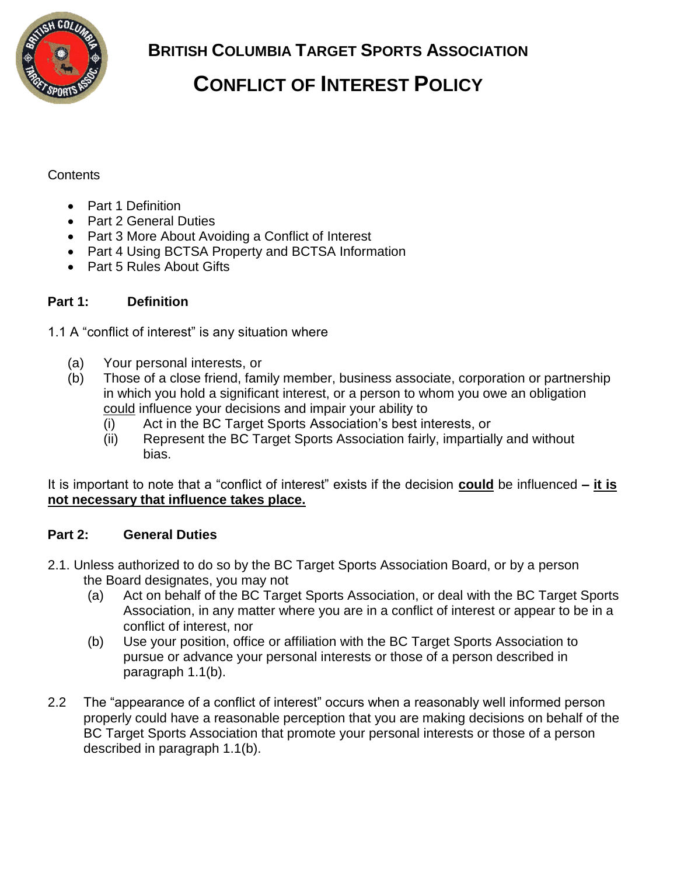

**BRITISH COLUMBIA TARGET SPORTS ASSOCIATION**

# **CONFLICT OF INTEREST POLICY**

## Contents

- Part 1 Definition
- Part 2 General Duties
- Part 3 More About Avoiding a Conflict of Interest
- Part 4 Using BCTSA Property and BCTSA Information
- Part 5 Rules About Gifts

## **Part 1: Definition**

- 1.1 A "conflict of interest" is any situation where
	- (a) Your personal interests, or
	- (b) Those of a close friend, family member, business associate, corporation or partnership in which you hold a significant interest, or a person to whom you owe an obligation could influence your decisions and impair your ability to
		- $\overline{f(i)}$  Act in the BC Target Sports Association's best interests, or
		- (ii) Represent the BC Target Sports Association fairly, impartially and without bias.

It is important to note that a "conflict of interest" exists if the decision **could** be influenced **– it is not necessary that influence takes place.** 

### **Part 2: General Duties**

- 2.1. Unless authorized to do so by the BC Target Sports Association Board, or by a person the Board designates, you may not
	- (a) Act on behalf of the BC Target Sports Association, or deal with the BC Target Sports Association, in any matter where you are in a conflict of interest or appear to be in a conflict of interest, nor
	- (b) Use your position, office or affiliation with the BC Target Sports Association to pursue or advance your personal interests or those of a person described in paragraph 1.1(b).
- 2.2 The "appearance of a conflict of interest" occurs when a reasonably well informed person properly could have a reasonable perception that you are making decisions on behalf of the BC Target Sports Association that promote your personal interests or those of a person described in paragraph 1.1(b).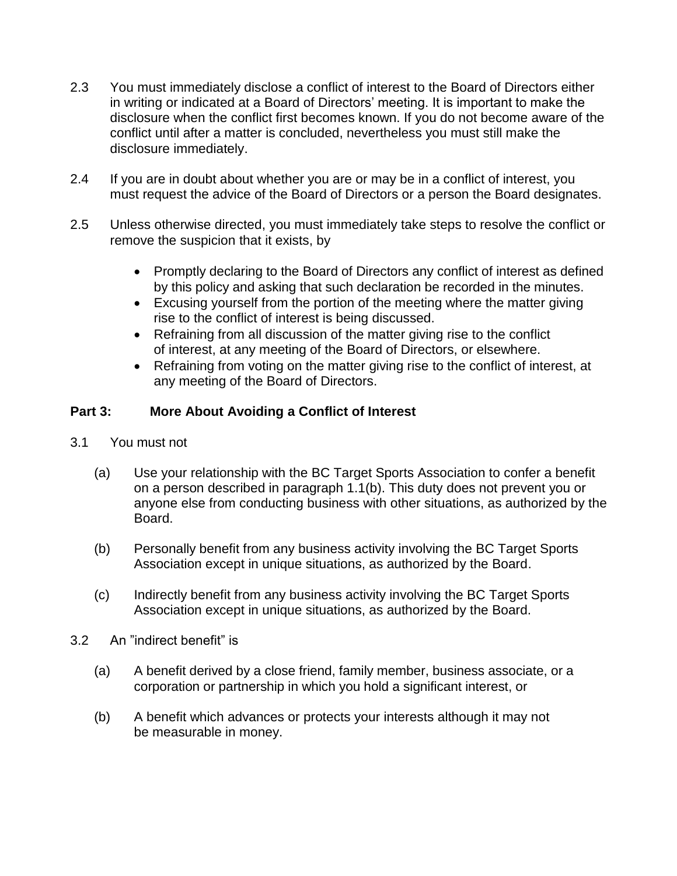- 2.3 You must immediately disclose a conflict of interest to the Board of Directors either in writing or indicated at a Board of Directors' meeting. It is important to make the disclosure when the conflict first becomes known. If you do not become aware of the conflict until after a matter is concluded, nevertheless you must still make the disclosure immediately.
- 2.4 If you are in doubt about whether you are or may be in a conflict of interest, you must request the advice of the Board of Directors or a person the Board designates.
- 2.5 Unless otherwise directed, you must immediately take steps to resolve the conflict or remove the suspicion that it exists, by
	- Promptly declaring to the Board of Directors any conflict of interest as defined by this policy and asking that such declaration be recorded in the minutes.
	- Excusing yourself from the portion of the meeting where the matter giving rise to the conflict of interest is being discussed.
	- Refraining from all discussion of the matter giving rise to the conflict of interest, at any meeting of the Board of Directors, or elsewhere.
	- Refraining from voting on the matter giving rise to the conflict of interest, at any meeting of the Board of Directors.

### **Part 3: More About Avoiding a Conflict of Interest**

- 3.1 You must not
	- (a) Use your relationship with the BC Target Sports Association to confer a benefit on a person described in paragraph 1.1(b). This duty does not prevent you or anyone else from conducting business with other situations, as authorized by the Board.
	- (b) Personally benefit from any business activity involving the BC Target Sports Association except in unique situations, as authorized by the Board.
	- (c) Indirectly benefit from any business activity involving the BC Target Sports Association except in unique situations, as authorized by the Board.
- 3.2 An "indirect benefit" is
	- (a) A benefit derived by a close friend, family member, business associate, or a corporation or partnership in which you hold a significant interest, or
	- (b) A benefit which advances or protects your interests although it may not be measurable in money.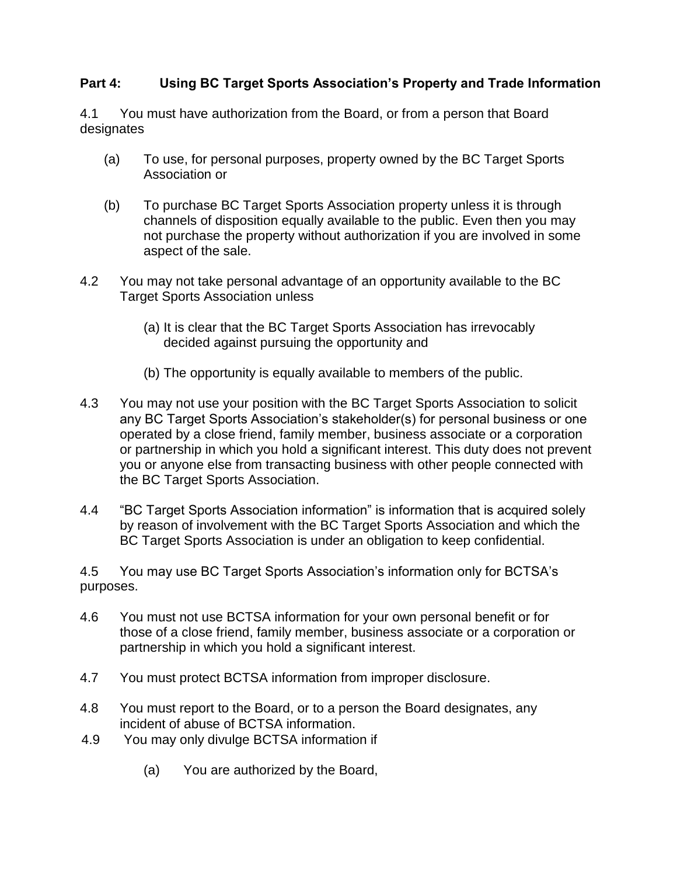### **Part 4: Using BC Target Sports Association's Property and Trade Information**

4.1 You must have authorization from the Board, or from a person that Board designates

- (a) To use, for personal purposes, property owned by the BC Target Sports Association or
- (b) To purchase BC Target Sports Association property unless it is through channels of disposition equally available to the public. Even then you may not purchase the property without authorization if you are involved in some aspect of the sale.
- 4.2 You may not take personal advantage of an opportunity available to the BC Target Sports Association unless
	- (a) It is clear that the BC Target Sports Association has irrevocably decided against pursuing the opportunity and
	- (b) The opportunity is equally available to members of the public.
- 4.3 You may not use your position with the BC Target Sports Association to solicit any BC Target Sports Association's stakeholder(s) for personal business or one operated by a close friend, family member, business associate or a corporation or partnership in which you hold a significant interest. This duty does not prevent you or anyone else from transacting business with other people connected with the BC Target Sports Association.
- 4.4 "BC Target Sports Association information" is information that is acquired solely by reason of involvement with the BC Target Sports Association and which the BC Target Sports Association is under an obligation to keep confidential.

4.5 You may use BC Target Sports Association's information only for BCTSA's purposes.

- 4.6 You must not use BCTSA information for your own personal benefit or for those of a close friend, family member, business associate or a corporation or partnership in which you hold a significant interest.
- 4.7 You must protect BCTSA information from improper disclosure.
- 4.8 You must report to the Board, or to a person the Board designates, any incident of abuse of BCTSA information.
- 4.9 You may only divulge BCTSA information if
	- (a) You are authorized by the Board,